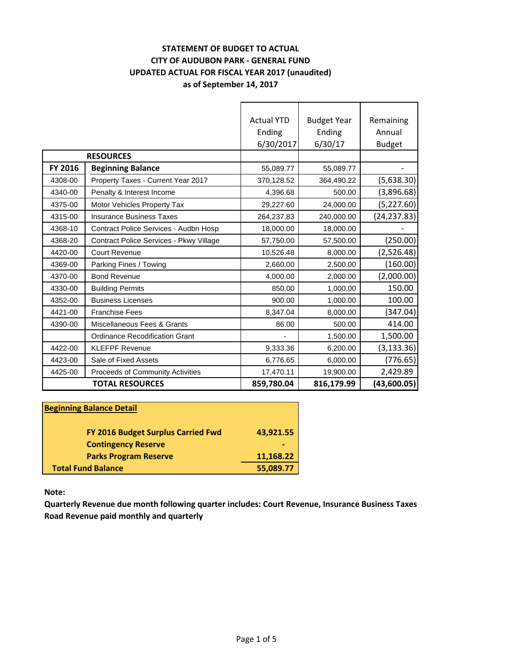### **STATEMENT OF BUDGET TO ACTUAL CITY OF AUDUBON PARK - GENERAL FUND UPDATED ACTUAL FOR FISCAL YEAR 2017 (unaudited) as of September 14, 2017**

|         |                                         | <b>Actual YTD</b> | <b>Budget Year</b> | Remaining     |
|---------|-----------------------------------------|-------------------|--------------------|---------------|
|         |                                         | Ending            | Ending             | Annual        |
|         |                                         | 6/30/2017         | 6/30/17            | <b>Budget</b> |
|         | <b>RESOURCES</b>                        |                   |                    |               |
| FY 2016 | <b>Beginning Balance</b>                | 55,089.77         | 55,089.77          |               |
| 4308-00 | Property Taxes - Current Year 2017      | 370,128.52        | 364,490.22         | (5,638.30)    |
| 4340-00 | Penalty & Interest Income               | 4,396.68          | 500.00             | (3,896.68)    |
| 4375-00 | <b>Motor Vehicles Property Tax</b>      | 29,227.60         | 24,000.00          | (5, 227.60)   |
| 4315-00 | <b>Insurance Business Taxes</b>         | 264,237.83        | 240,000.00         | (24, 237.83)  |
| 4368-10 | Contract Police Services - Audbn Hosp   | 18,000.00         | 18,000.00          |               |
| 4368-20 | Contract Police Services - Pkwy Village | 57,750.00         | 57,500.00          | (250.00)      |
| 4420-00 | <b>Court Revenue</b>                    | 10,526.48         | 8,000.00           | (2,526.48)    |
| 4369-00 | Parking Fines / Towing                  | 2,660.00          | 2,500.00           | (160.00)      |
| 4370-00 | <b>Bond Revenue</b>                     | 4,000.00          | 2,000.00           | (2,000.00)    |
| 4330-00 | <b>Building Permits</b>                 | 850.00            | 1,000.00           | 150.00        |
| 4352-00 | <b>Business Licenses</b>                | 900.00            | 1,000.00           | 100.00        |
| 4421-00 | <b>Franchise Fees</b>                   | 8,347.04          | 8,000.00           | (347.04)      |
| 4390-00 | Miscellaneous Fees & Grants             | 86.00             | 500.00             | 414.00        |
|         | <b>Ordinance Recodification Grant</b>   |                   | 1,500.00           | 1,500.00      |
| 4422-00 | <b>KLEFPF Revenue</b>                   | 9,333.36          | 6,200.00           | (3, 133.36)   |
| 4423-00 | Sale of Fixed Assets                    | 6,776.65          | 6,000.00           | (776.65)      |
| 4425-00 | Proceeds of Community Activities        | 17,470.11         | 19,900.00          | 2,429.89      |
|         | <b>TOTAL RESOURCES</b>                  | 859,780.04        | 816,179.99         | (43,600.05)   |

| <b>Beginning Balance Detail</b>    |           |  |  |
|------------------------------------|-----------|--|--|
| FY 2016 Budget Surplus Carried Fwd | 43,921.55 |  |  |
| <b>Contingency Reserve</b>         |           |  |  |
| <b>Parks Program Reserve</b>       | 11,168.22 |  |  |
| <b>Total Fund Balance</b>          | 55,089.77 |  |  |

**Note:**

**Quarterly Revenue due month following quarter includes: Court Revenue, Insurance Business Taxes Road Revenue paid monthly and quarterly**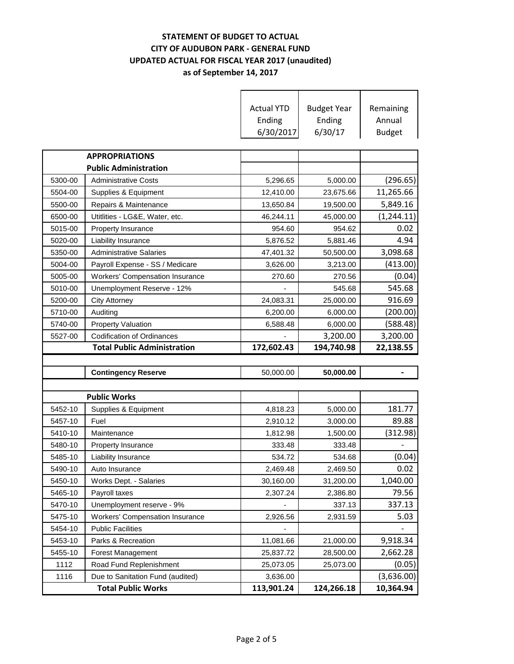### **STATEMENT OF BUDGET TO ACTUAL CITY OF AUDUBON PARK - GENERAL FUND UPDATED ACTUAL FOR FISCAL YEAR 2017 (unaudited) as of September 14, 2017**

|         |                                                               | <b>Actual YTD</b><br>Ending<br>6/30/2017 | <b>Budget Year</b><br>Ending<br>6/30/17 | Remaining<br>Annual<br><b>Budget</b> |
|---------|---------------------------------------------------------------|------------------------------------------|-----------------------------------------|--------------------------------------|
|         | <b>APPROPRIATIONS</b>                                         |                                          |                                         |                                      |
|         | <b>Public Administration</b>                                  |                                          |                                         |                                      |
| 5300-00 | <b>Administrative Costs</b>                                   | 5,296.65                                 | 5,000.00                                | (296.65)                             |
| 5504-00 | Supplies & Equipment                                          | 12,410.00                                | 23,675.66                               | 11,265.66                            |
| 5500-00 | Repairs & Maintenance                                         | 13,650.84                                | 19,500.00                               | 5,849.16                             |
| 6500-00 | Utitlities - LG&E, Water, etc.                                | 46,244.11                                | 45,000.00                               | (1, 244.11)                          |
| 5015-00 | Property Insurance                                            | 954.60                                   | 954.62                                  | 0.02                                 |
| 5020-00 | Liability Insurance                                           | 5,876.52                                 | 5,881.46                                | 4.94                                 |
| 5350-00 | <b>Administrative Salaries</b>                                | 47,401.32                                | 50,500.00                               | 3,098.68                             |
| 5004-00 | Payroll Expense - SS / Medicare                               | 3,626.00                                 | 3,213.00                                | (413.00)                             |
| 5005-00 | <b>Workers' Compensation Insurance</b>                        | 270.60                                   | 270.56                                  | (0.04)                               |
| 5010-00 | Unemployment Reserve - 12%                                    |                                          | 545.68                                  | 545.68                               |
| 5200-00 | <b>City Attorney</b>                                          | 24,083.31                                | 25,000.00                               | 916.69                               |
| 5710-00 | Auditing                                                      | 6,200.00                                 | 6,000.00                                | (200.00)                             |
| 5740-00 | <b>Property Valuation</b>                                     | 6,588.48                                 | 6,000.00                                | (588.48)                             |
| 5527-00 | <b>Codification of Ordinances</b>                             |                                          | 3,200.00                                | 3,200.00                             |
|         |                                                               |                                          |                                         |                                      |
|         | <b>Total Public Administration</b>                            | 172,602.43                               | 194,740.98                              | 22,138.55                            |
|         |                                                               |                                          |                                         |                                      |
|         | <b>Contingency Reserve</b>                                    | 50,000.00                                | 50,000.00                               |                                      |
|         |                                                               |                                          |                                         |                                      |
|         | <b>Public Works</b>                                           |                                          |                                         |                                      |
| 5452-10 | Supplies & Equipment                                          | 4,818.23                                 | 5,000.00                                | 181.77                               |
| 5457-10 | Fuel                                                          | 2,910.12                                 | 3,000.00                                | 89.88                                |
| 5410-10 | Maintenance                                                   | 1,812.98                                 | 1,500.00                                | (312.98)                             |
| 5480-10 | <b>Property Insurance</b>                                     | 333.48                                   | 333.48                                  |                                      |
| 5485-10 | Liability Insurance                                           | 534.72                                   | 534.68                                  | (0.04)                               |
| 5490-10 | Auto Insurance                                                | 2,469.48                                 | 2,469.50                                | 0.02                                 |
| 5450-10 | Works Dept. - Salaries                                        | 30,160.00                                | 31,200.00                               | 1,040.00                             |
| 5465-10 | Payroll taxes                                                 | 2,307.24                                 | 2,386.80                                | 79.56                                |
| 5470-10 | Unemployment reserve - 9%                                     |                                          | 337.13                                  | 337.13                               |
| 5475-10 | <b>Workers' Compensation Insurance</b>                        | 2,926.56                                 | 2,931.59                                | 5.03                                 |
| 5454-10 | <b>Public Facilities</b>                                      |                                          |                                         |                                      |
| 5453-10 | Parks & Recreation                                            | 11,081.66                                | 21,000.00                               | 9,918.34                             |
| 5455-10 | <b>Forest Management</b>                                      | 25,837.72                                | 28,500.00                               | 2,662.28                             |
| 1112    | Road Fund Replenishment                                       | 25,073.05                                | 25,073.00                               | (0.05)                               |
| 1116    | Due to Sanitation Fund (audited)<br><b>Total Public Works</b> | 3,636.00<br>113,901.24                   | 124,266.18                              | (3,636.00)<br>10,364.94              |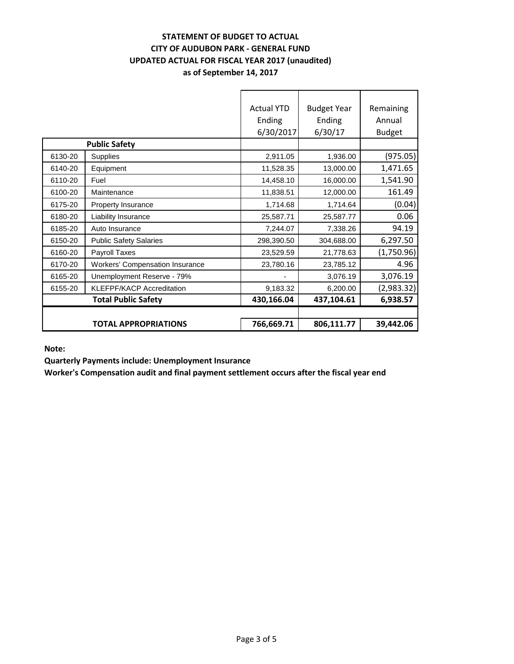#### **STATEMENT OF BUDGET TO ACTUAL CITY OF AUDUBON PARK - GENERAL FUND UPDATED ACTUAL FOR FISCAL YEAR 2017 (unaudited) as of September 14, 2017**

|         |                                        | <b>Actual YTD</b><br>Ending<br>6/30/2017 | <b>Budget Year</b><br>Ending<br>6/30/17 | Remaining<br>Annual<br><b>Budget</b> |
|---------|----------------------------------------|------------------------------------------|-----------------------------------------|--------------------------------------|
|         | <b>Public Safety</b>                   |                                          |                                         |                                      |
| 6130-20 | <b>Supplies</b>                        | 2,911.05                                 | 1,936.00                                | (975.05)                             |
| 6140-20 | Equipment                              | 11,528.35                                | 13,000.00                               | 1,471.65                             |
| 6110-20 | Fuel                                   | 14,458.10                                | 16,000.00                               | 1,541.90                             |
| 6100-20 | Maintenance                            | 11,838.51                                | 12,000.00                               | 161.49                               |
| 6175-20 | <b>Property Insurance</b>              | 1,714.68                                 | 1,714.64                                | (0.04)                               |
| 6180-20 | Liability Insurance                    | 25,587.71                                | 25,587.77                               | 0.06                                 |
| 6185-20 | Auto Insurance                         | 7,244.07                                 | 7,338.26                                | 94.19                                |
| 6150-20 | <b>Public Safety Salaries</b>          | 298,390.50                               | 304,688.00                              | 6,297.50                             |
| 6160-20 | Payroll Taxes                          | 23,529.59                                | 21,778.63                               | (1,750.96)                           |
| 6170-20 | <b>Workers' Compensation Insurance</b> | 23,780.16                                | 23,785.12                               | 4.96                                 |
| 6165-20 | Unemployment Reserve - 79%             |                                          | 3,076.19                                | 3,076.19                             |
| 6155-20 | <b>KLEFPF/KACP Accreditation</b>       | 9,183.32                                 | 6,200.00                                | (2,983.32)                           |
|         | <b>Total Public Safety</b>             | 430,166.04                               | 437,104.61                              | 6,938.57                             |
|         |                                        |                                          |                                         |                                      |
|         | <b>TOTAL APPROPRIATIONS</b>            | 766,669.71                               | 806,111.77                              | 39,442.06                            |

**Note:**

**Quarterly Payments include: Unemployment Insurance**

**Worker's Compensation audit and final payment settlement occurs after the fiscal year end**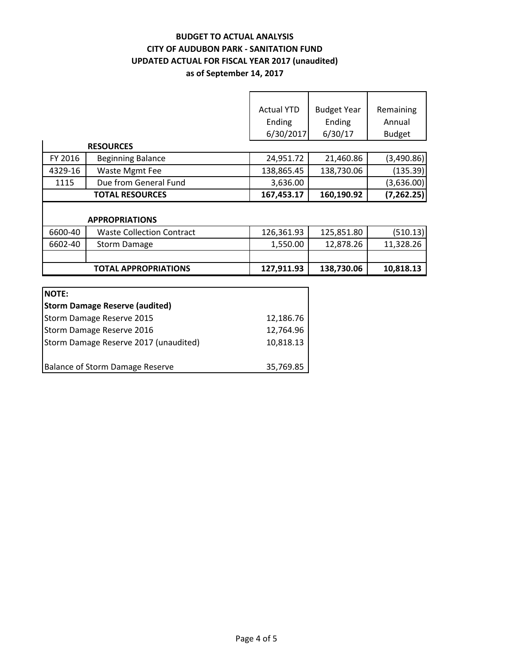# **BUDGET TO ACTUAL ANALYSIS CITY OF AUDUBON PARK - SANITATION FUND UPDATED ACTUAL FOR FISCAL YEAR 2017 (unaudited) as of September 14, 2017**

 $\overline{\phantom{a}}$ 

٦

|                |                                       | <b>Actual YTD</b><br>Ending<br>6/30/2017 | <b>Budget Year</b><br>Ending<br>6/30/17 | Remaining<br>Annual<br><b>Budget</b> |
|----------------|---------------------------------------|------------------------------------------|-----------------------------------------|--------------------------------------|
|                | <b>RESOURCES</b>                      |                                          |                                         |                                      |
| FY 2016        | <b>Beginning Balance</b>              | 24,951.72                                | 21,460.86                               | (3,490.86)                           |
| 4329-16        | <b>Waste Mgmt Fee</b>                 | 138,865.45                               | 138,730.06                              | (135.39)                             |
| 1115           | Due from General Fund                 | 3,636.00                                 |                                         | (3,636.00)                           |
|                | <b>TOTAL RESOURCES</b>                | 167,453.17                               | 160,190.92                              | (7, 262.25)                          |
|                | <b>APPROPRIATIONS</b>                 |                                          |                                         |                                      |
| 6600-40        | <b>Waste Collection Contract</b>      | 126,361.93                               | 125,851.80                              | (510.13)                             |
| 6602-40        | <b>Storm Damage</b>                   | 1,550.00                                 | 12,878.26                               | 11,328.26                            |
|                |                                       |                                          |                                         |                                      |
|                | <b>TOTAL APPROPRIATIONS</b>           | 127,911.93                               | 138,730.06                              | 10,818.13                            |
|                |                                       |                                          |                                         |                                      |
| <b>NOTE:</b>   |                                       |                                          |                                         |                                      |
|                | <b>Storm Damage Reserve (audited)</b> |                                          |                                         |                                      |
| $C_{\text{t}}$ |                                       | 12.10077                                 |                                         |                                      |

| 19601111 DUITIUSE INC9CI VE (UUUILEU) |           |
|---------------------------------------|-----------|
| Storm Damage Reserve 2015             | 12,186.76 |
| Storm Damage Reserve 2016             | 12,764.96 |
| Storm Damage Reserve 2017 (unaudited) | 10,818.13 |
|                                       |           |
| Balance of Storm Damage Reserve       | 35,769.85 |